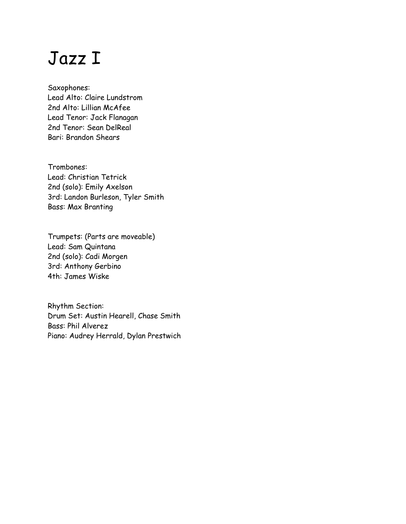## Jazz I

Saxophones: Lead Alto: Claire Lundstrom 2nd Alto: Lillian McAfee Lead Tenor: Jack Flanagan 2nd Tenor: Sean DelReal Bari: Brandon Shears

Trombones: Lead: Christian Tetrick 2nd (solo): Emily Axelson 3rd: Landon Burleson, Tyler Smith Bass: Max Branting

Trumpets: (Parts are moveable) Lead: Sam Quintana 2nd (solo): Cadi Morgen 3rd: Anthony Gerbino 4th: James Wiske

Rhythm Section: Drum Set: Austin Hearell, Chase Smith Bass: Phil Alverez Piano: Audrey Herrald, Dylan Prestwich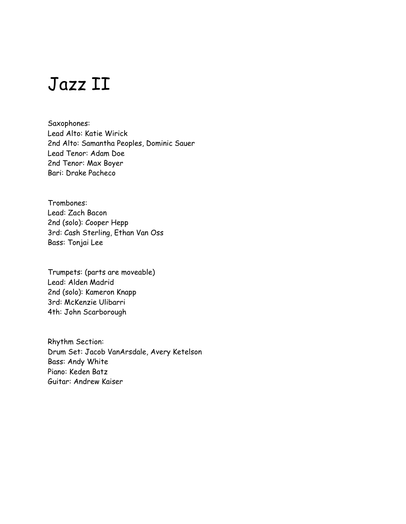## Jazz II

Saxophones: Lead Alto: Katie Wirick 2nd Alto: Samantha Peoples, Dominic Sauer Lead Tenor: Adam Doe 2nd Tenor: Max Boyer Bari: Drake Pacheco

Trombones: Lead: Zach Bacon 2nd (solo): Cooper Hepp 3rd: Cash Sterling, Ethan Van Oss Bass: Tonjai Lee

Trumpets: (parts are moveable) Lead: Alden Madrid 2nd (solo): Kameron Knapp 3rd: McKenzie Ulibarri 4th: John Scarborough

Rhythm Section: Drum Set: Jacob VanArsdale, Avery Ketelson Bass: Andy White Piano: Keden Batz Guitar: Andrew Kaiser